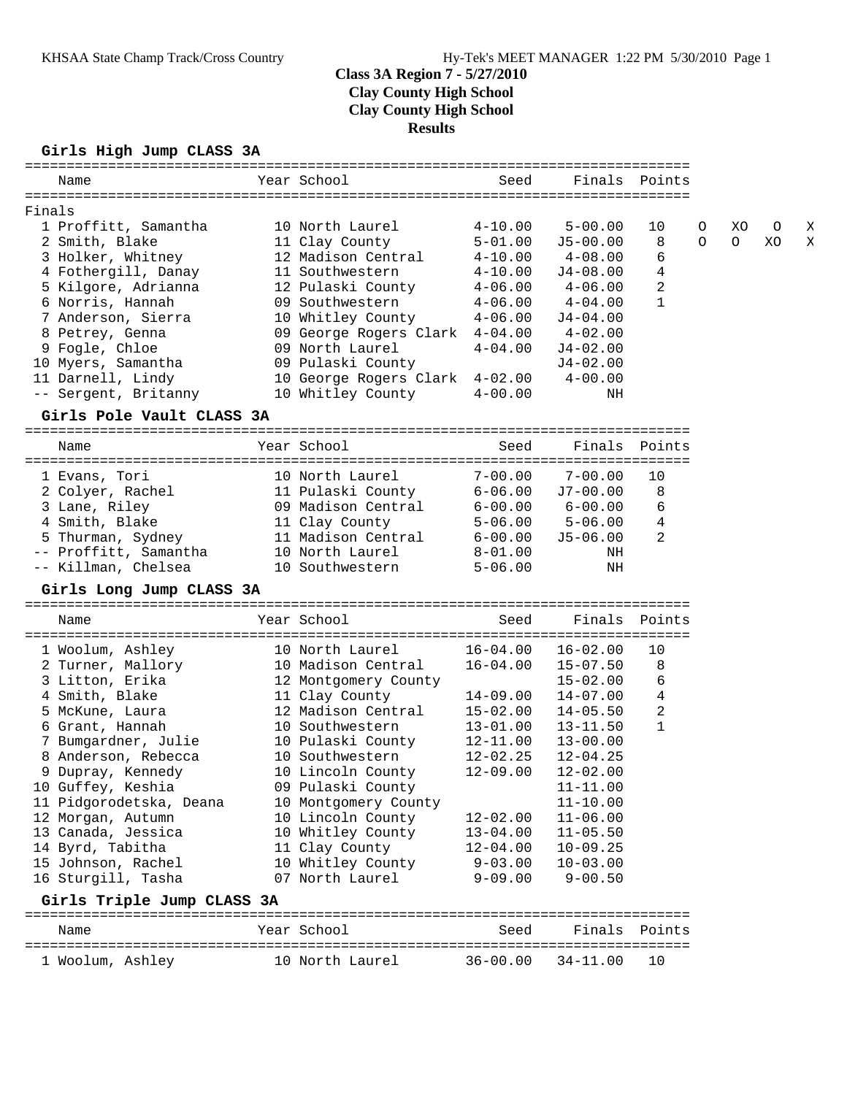# **Class 3A Region 7 - 5/27/2010 Clay County High School Clay County High School Results**

## **Girls High Jump CLASS 3A**

| Name                                         | Year School                        | Seed                       |              | Finals Points |          |         |         |
|----------------------------------------------|------------------------------------|----------------------------|--------------|---------------|----------|---------|---------|
|                                              |                                    |                            |              |               |          |         |         |
| Finals<br>1 Proffitt, Samantha               | 10 North Laurel                    | $4 - 10.00$                | $5 - 00.00$  | 10            | 0        | XО      | $\circ$ |
| 2 Smith, Blake                               | 11 Clay County                     | $5 - 01.00$                | $J5 - 00.00$ | 8             | $\Omega$ | $\circ$ | XO      |
| 3 Holker, Whitney                            | 12 Madison Central                 | $4 - 10.00$                | $4 - 08.00$  | 6             |          |         |         |
| 4 Fothergill, Danay                          | 11 Southwestern                    | $4 - 10.00$                | $J4-08.00$   | 4             |          |         |         |
| 5 Kilgore, Adrianna                          | 12 Pulaski County                  | $4 - 06.00$                | $4 - 06.00$  | 2             |          |         |         |
| 6 Norris, Hannah                             | 09 Southwestern                    | $4 - 06.00$                | $4 - 04.00$  | 1             |          |         |         |
| 7 Anderson, Sierra                           | 10 Whitley County                  | $4 - 06.00$                | $J4 - 04.00$ |               |          |         |         |
| 8 Petrey, Genna                              | 09 George Rogers Clark 4-04.00     |                            | $4 - 02.00$  |               |          |         |         |
| 9 Fogle, Chloe                               | 09 North Laurel                    | $4 - 04.00$                | $J4 - 02.00$ |               |          |         |         |
| 10 Myers, Samantha                           | 09 Pulaski County                  |                            | $J4-02.00$   |               |          |         |         |
| 11 Darnell, Lindy                            | 10 George Rogers Clark 4-02.00     |                            | $4 - 00.00$  |               |          |         |         |
| -- Sergent, Britanny                         | 10 Whitley County                  | $4 - 00.00$                | ΝH           |               |          |         |         |
| Girls Pole Vault CLASS 3A                    |                                    |                            |              |               |          |         |         |
|                                              |                                    |                            |              |               |          |         |         |
| Name                                         | Year School                        | Seed                       | Finals       | Points        |          |         |         |
|                                              |                                    |                            |              |               |          |         |         |
| 1 Evans, Tori                                | 10 North Laurel                    | $7 - 00.00$                | $7 - 00.00$  | 10            |          |         |         |
| 2 Colyer, Rachel                             | 11 Pulaski County                  | $6 - 06.00$                | $J7 - 00.00$ | 8             |          |         |         |
| 3 Lane, Riley                                | 09 Madison Central                 | $6 - 00.00$                | 6-00.00      | 6             |          |         |         |
| 4 Smith, Blake                               | 11 Clay County                     | $5 - 06.00$                | $5 - 06.00$  | 4             |          |         |         |
| 5 Thurman, Sydney                            | 11 Madison Central                 | $6 - 00.00$                | $J5 - 06.00$ | 2             |          |         |         |
| -- Proffitt, Samantha<br>-- Killman, Chelsea | 10 North Laurel<br>10 Southwestern | $8 - 01.00$<br>$5 - 06.00$ | ΝH<br>ΝH     |               |          |         |         |
| Girls Long Jump CLASS 3A                     |                                    |                            |              |               |          |         |         |
|                                              |                                    |                            |              |               |          |         |         |
| Name                                         | Year School                        | Seed                       | Finals       | Points        |          |         |         |
| 1 Woolum, Ashley                             | 10 North Laurel                    | $16 - 04.00$               | $16 - 02.00$ | 10            |          |         |         |
| 2 Turner, Mallory                            | 10 Madison Central                 | $16 - 04.00$               | $15 - 07.50$ | 8             |          |         |         |
| 3 Litton, Erika                              | 12 Montgomery County               |                            | $15 - 02.00$ | 6             |          |         |         |
| 4 Smith, Blake                               | 11 Clay County                     | $14 - 09.00$               | $14 - 07.00$ | 4             |          |         |         |
| 5 McKune, Laura                              | 12 Madison Central                 | $15 - 02.00$               | $14 - 05.50$ | 2             |          |         |         |
| 6 Grant, Hannah                              | 10 Southwestern                    | $13 - 01.00$               | $13 - 11.50$ | 1             |          |         |         |
| 7 Bumgardner, Julie                          | 10 Pulaski County                  | $12 - 11.00$               | $13 - 00.00$ |               |          |         |         |
| 8 Anderson, Rebecca                          | 10 Southwestern                    | $12 - 02.25$               | $12 - 04.25$ |               |          |         |         |
| 9 Dupray, Kennedy                            | 10 Lincoln County                  | $12 - 09.00$               | $12 - 02.00$ |               |          |         |         |
| 10 Guffey, Keshia                            | 09 Pulaski County                  |                            | $11 - 11.00$ |               |          |         |         |
| 11 Pidgorodetska, Deana                      | 10 Montgomery County               |                            | $11 - 10.00$ |               |          |         |         |
| 12 Morgan, Autumn                            | 10 Lincoln County                  | $12 - 02.00$               | $11 - 06.00$ |               |          |         |         |
| 13 Canada, Jessica                           | 10 Whitley County                  | $13 - 04.00$               | $11 - 05.50$ |               |          |         |         |
| 14 Byrd, Tabitha                             | 11 Clay County                     | $12 - 04.00$               | $10 - 09.25$ |               |          |         |         |
| 15 Johnson, Rachel                           | 10 Whitley County                  | $9 - 03.00$                | $10 - 03.00$ |               |          |         |         |
| 16 Sturgill, Tasha                           | 07 North Laurel                    | $9 - 09.00$                | $9 - 00.50$  |               |          |         |         |
| Girls Triple Jump CLASS 3A                   |                                    |                            |              |               |          |         |         |
| Name                                         | Year School                        | Seed                       | Finals       | Points        |          |         |         |
|                                              |                                    |                            |              |               |          |         |         |
| 1 Woolum, Ashley                             | 10 North Laurel                    | $36 - 00.00$               | 34-11.00     | 10            |          |         |         |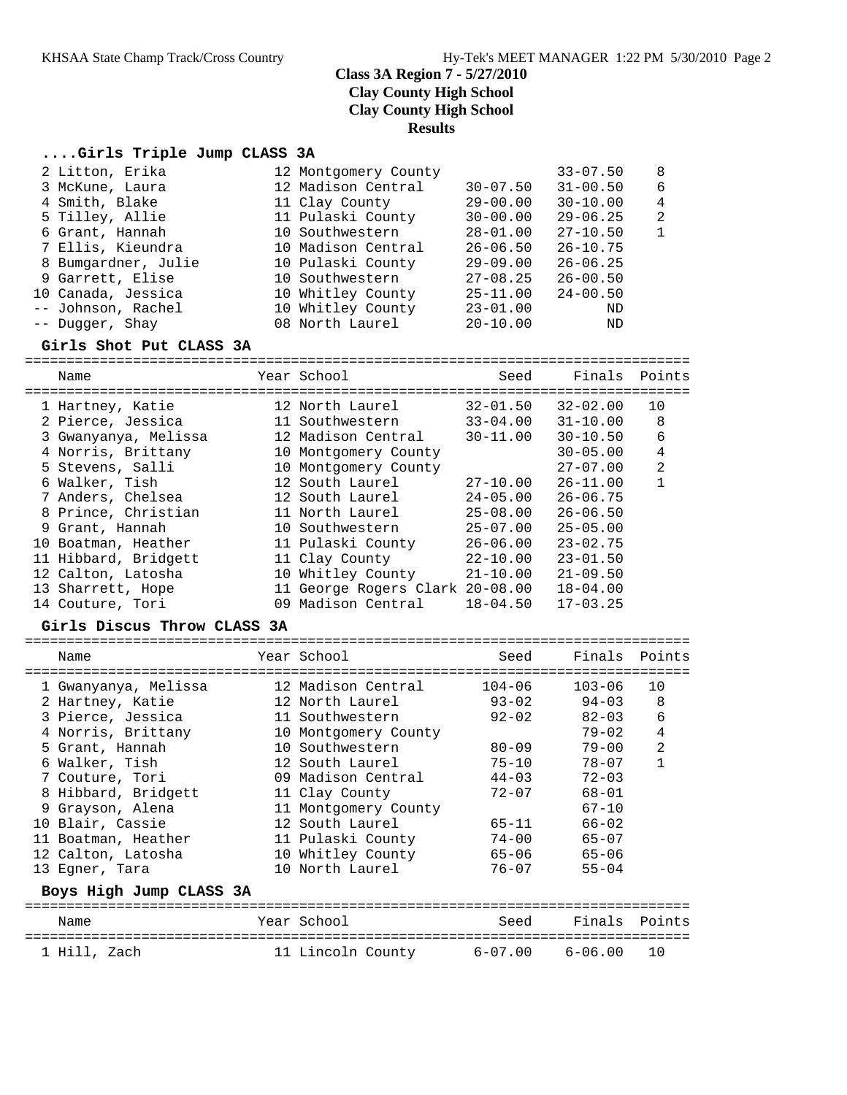# **Class 3A Region 7 - 5/27/2010 Clay County High School Clay County High School Results**

### **....Girls Triple Jump CLASS 3A**

| 2 Litton, Erika     | 12 Montgomery County |              | $33 - 07.50$ | - 8            |
|---------------------|----------------------|--------------|--------------|----------------|
| 3 McKune, Laura     | 12 Madison Central   | $30 - 07.50$ | $31 - 00.50$ | 6              |
| 4 Smith, Blake      | 11 Clay County       | $29 - 00.00$ | $30 - 10.00$ | $\overline{4}$ |
| 5 Tilley, Allie     | 11 Pulaski County    | $30 - 00.00$ | $29 - 06.25$ | -2             |
| 6 Grant, Hannah     | 10 Southwestern      | $28 - 01.00$ | $27 - 10.50$ | $\mathbf{1}$   |
| 7 Ellis, Kieundra   | 10 Madison Central   | $26 - 06.50$ | $26 - 10.75$ |                |
| 8 Bumgardner, Julie | 10 Pulaski County    | $29 - 09.00$ | $26 - 06.25$ |                |
| 9 Garrett, Elise    | 10 Southwestern      | $27 - 08.25$ | $26 - 00.50$ |                |
| 10 Canada, Jessica  | 10 Whitley County    | $25 - 11.00$ | $24 - 00.50$ |                |
| -- Johnson, Rachel  | 10 Whitley County    | $23 - 01.00$ | ND           |                |
| -- Dugger, Shay     | 08 North Laurel      | $20 - 10.00$ | ND           |                |

#### **Girls Shot Put CLASS 3A**

================================================================================ Name Year School Seed Finals Points ================================================================================ 1 Hartney, Katie 12 North Laurel 32-01.50 32-02.00 10 2 Pierce, Jessica 11 Southwestern 33-04.00 31-10.00 8 3 Gwanyanya, Melissa 12 Madison Central 30-11.00 30-10.50 6 4 Norris, Brittany 10 Montgomery County 30-05.00 4 5 Stevens, Salli 10 Montgomery County 27-07.00 2 6 Walker, Tish 12 South Laurel 27-10.00 26-11.00 1 7 Anders, Chelsea 12 South Laurel 24-05.00 26-06.75 8 Prince, Christian 11 North Laurel 25-08.00 26-06.50 9 Grant, Hannah 10 Southwestern 25-07.00 25-05.00 10 Boatman, Heather 11 Pulaski County 26-06.00 23-02.75 11 Hibbard, Bridgett 11 Clay County 22-10.00 23-01.50 12 Calton, Latosha 10 Whitley County 21-10.00 21-09.50 13 Sharrett, Hope 11 George Rogers Clark 20-08.00 18-04.00 14 Couture, Tori 09 Madison Central 18-04.50 17-03.25 **Girls Discus Throw CLASS 3A** ================================================================================

| Name                    | Year School          | Seed       | Finals     | Points         |
|-------------------------|----------------------|------------|------------|----------------|
| 1 Gwanyanya, Melissa    | 12 Madison Central   | $104 - 06$ | $103 - 06$ | 10             |
| 2 Hartney, Katie        | 12 North Laurel      | $93 - 02$  | $94 - 03$  | 8              |
| 3 Pierce, Jessica       | 11 Southwestern      | $92 - 02$  | $82 - 03$  | 6              |
| 4 Norris, Brittany      | 10 Montgomery County |            | $79 - 02$  | 4              |
| 5 Grant, Hannah         | 10 Southwestern      | $80 - 09$  | $79 - 00$  | $\overline{2}$ |
| 6 Walker, Tish          | 12 South Laurel      | $75 - 10$  | $78 - 07$  |                |
| 7 Couture, Tori         | 09 Madison Central   | $44 - 03$  | $72 - 03$  |                |
| 8 Hibbard, Bridgett     | 11 Clay County       | $72 - 07$  | $68 - 01$  |                |
| 9 Grayson, Alena        | 11 Montgomery County |            | $67 - 10$  |                |
| 10 Blair, Cassie        | 12 South Laurel      | 65-11      | $66 - 02$  |                |
| 11 Boatman, Heather     | 11 Pulaski County    | $74 - 00$  | $65 - 07$  |                |
| 12 Calton, Latosha      | 10 Whitley County    | $65 - 06$  | $65 - 06$  |                |
| 13 Eqner, Tara          | 10 North Laurel      | $76 - 07$  | $55 - 04$  |                |
| Boys High Jump CLASS 3A |                      |            |            |                |
| Name                    | Year School          | Seed       | Finals     | Points         |

================================================================================ 1 Hill, Zach 11 Lincoln County 6-07.00 6-06.00 10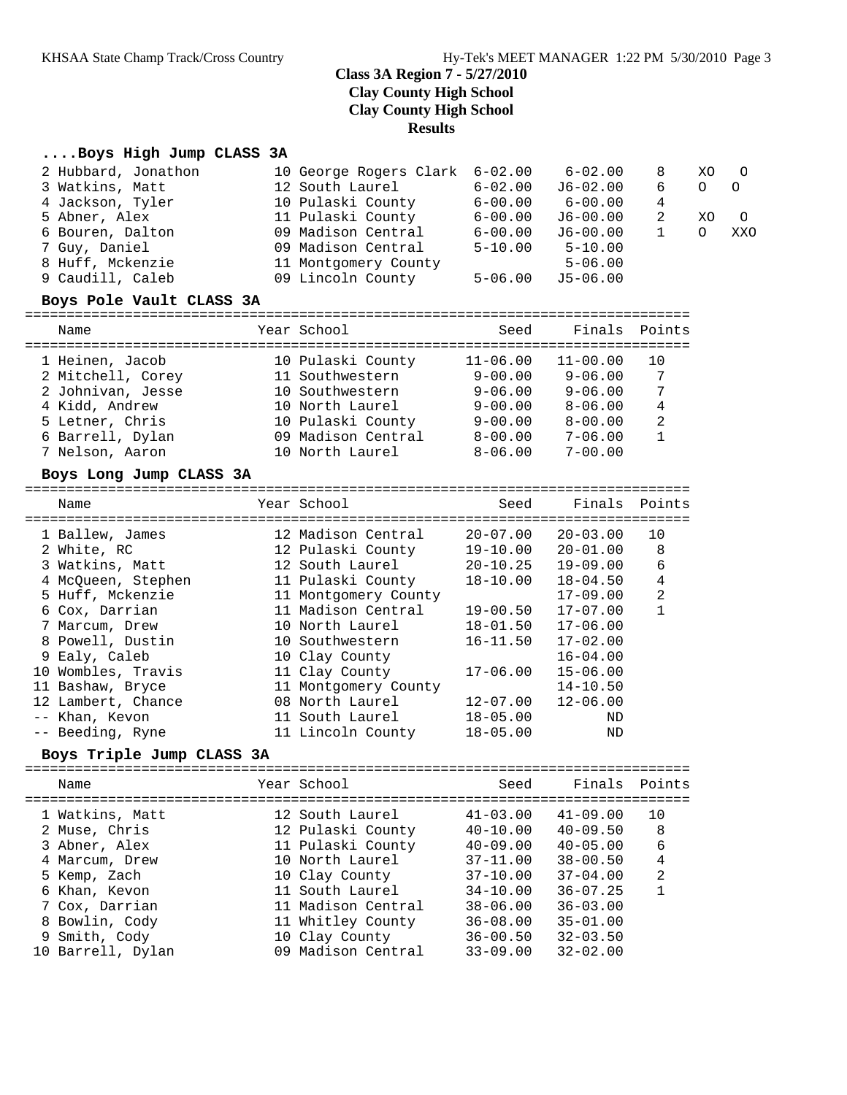# **Class 3A Region 7 - 5/27/2010 Clay County High School Clay County High School Results**

## **....Boys High Jump CLASS 3A**

| 2 Hubbard, Jonathon<br>3 Watkins, Matt | 10 George Rogers Clark<br>12 South Laurel | $6 - 02.00$<br>$6 - 02.00$ | $6 - 02.00$<br>J6-02.00 | 8<br>6 | XO. | $\circ$  |
|----------------------------------------|-------------------------------------------|----------------------------|-------------------------|--------|-----|----------|
| 4 Jackson, Tyler                       | 10 Pulaski County                         | $6 - 00.00$                | $6 - 00.00$             | 4      |     |          |
| 5 Abner, Alex                          | 11 Pulaski County                         | $6 - 00.00$                | $J6 - 00.00$            |        | XO  | $\Omega$ |
| 6 Bouren, Dalton                       | 09 Madison Central                        | $6 - 00.00$                | $J6 - 00.00$            |        |     | XXC      |
| 7 Guy, Daniel                          | 09 Madison Central                        | $5 - 10.00$                | $5 - 10.00$             |        |     |          |
| 8 Huff, Mckenzie                       | 11 Montgomery County                      |                            | $5 - 06.00$             |        |     |          |
| 9 Caudill, Caleb                       | 09 Lincoln County                         | $5 - 06.00$                | $J5-06.00$              |        |     |          |
|                                        |                                           |                            |                         |        |     |          |

### **Boys Pole Vault CLASS 3A**

#### ================================================================================ Name Year School Seed Finals Points

| 1.914111          |                    | .            |              |    |
|-------------------|--------------------|--------------|--------------|----|
| 1 Heinen, Jacob   | 10 Pulaski County  | $11 - 06.00$ | $11 - 00.00$ | 10 |
| 2 Mitchell, Corey | 11 Southwestern    | $9 - 00.00$  | $9 - 06.00$  | 7  |
| 2 Johnivan, Jesse | 10 Southwestern    | $9 - 06.00$  | $9 - 06.00$  | 7  |
| 4 Kidd, Andrew    | 10 North Laurel    | $9 - 00.00$  | $8 - 06.00$  | 4  |
| 5 Letner, Chris   | 10 Pulaski County  | $9 - 00.00$  | $8 - 00.00$  | 2  |
| 6 Barrell, Dylan  | 09 Madison Central | $8 - 00.00$  | $7 - 06.00$  | 1  |
| 7 Nelson, Aaron   | 10 North Laurel    | $8 - 06.00$  | $7 - 00.00$  |    |
|                   |                    |              |              |    |

#### **Boys Long Jump CLASS 3A**

| Name               | Year School<br>----------- | Seed         | Finals Points |                |
|--------------------|----------------------------|--------------|---------------|----------------|
| 1 Ballew, James    | 12 Madison Central         | $20 - 07.00$ | $20 - 03.00$  | 10             |
| 2 White, RC        | 12 Pulaski County          | $19 - 10.00$ | $20 - 01.00$  | 8              |
| 3 Watkins, Matt    | 12 South Laurel            | $20 - 10.25$ | $19 - 09.00$  | 6              |
| 4 McOueen, Stephen | 11 Pulaski County          | $18 - 10.00$ | $18 - 04.50$  | 4              |
| 5 Huff, Mckenzie   | 11 Montgomery County       |              | $17 - 09.00$  | $\overline{2}$ |
| 6 Cox, Darrian     | 11 Madison Central         | $19 - 00.50$ | $17 - 07.00$  |                |
| 7 Marcum, Drew     | 10 North Laurel            | $18 - 01.50$ | $17 - 06.00$  |                |
| 8 Powell, Dustin   | 10 Southwestern            | $16 - 11.50$ | $17 - 02.00$  |                |
| 9 Ealy, Caleb      | 10 Clay County             |              | $16 - 04.00$  |                |
| 10 Wombles, Travis | 11 Clay County             | $17 - 06.00$ | $15 - 06.00$  |                |
| 11 Bashaw, Bryce   | 11 Montgomery County       |              | $14 - 10.50$  |                |
| 12 Lambert, Chance | 08 North Laurel            | 12-07.00     | $12 - 06.00$  |                |
| -- Khan, Kevon     | 11 South Laurel            | $18 - 05.00$ | ND            |                |
| -- Beeding, Ryne   | 11 Lincoln County          | $18 - 05.00$ | ND            |                |

#### **Boys Triple Jump CLASS 3A**

================================================================================

| Name              | Year School        | Seed         | Finals       | Points         |
|-------------------|--------------------|--------------|--------------|----------------|
| 1 Watkins, Matt   | 12 South Laurel    | $41 - 03.00$ | $41 - 09.00$ | 10             |
| 2 Muse, Chris     | 12 Pulaski County  | $40 - 10.00$ | $40 - 09.50$ | 8              |
| 3 Abner, Alex     | 11 Pulaski County  | $40 - 09.00$ | $40 - 05.00$ | 6              |
| 4 Marcum, Drew    | 10 North Laurel    | $37 - 11.00$ | $38 - 00.50$ | 4              |
| 5 Kemp, Zach      | 10 Clay County     | $37 - 10.00$ | $37 - 04.00$ | $\overline{2}$ |
| 6 Khan, Kevon     | 11 South Laurel    | $34 - 10.00$ | $36 - 07.25$ |                |
| 7 Cox, Darrian    | 11 Madison Central | $38 - 06.00$ | $36 - 03.00$ |                |
| 8 Bowlin, Cody    | 11 Whitley County  | $36 - 08.00$ | $35 - 01.00$ |                |
| 9 Smith, Cody     | 10 Clay County     | $36 - 00.50$ | $32 - 03.50$ |                |
| 10 Barrell, Dylan | 09 Madison Central | $33 - 09.00$ | $32 - 02.00$ |                |
|                   |                    |              |              |                |